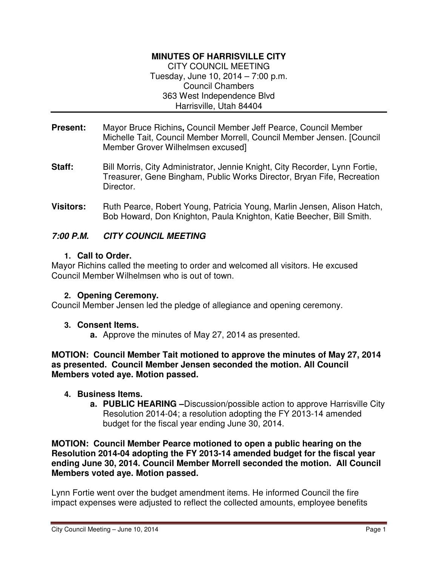## **MINUTES OF HARRISVILLE CITY**

CITY COUNCIL MEETING Tuesday, June 10, 2014 – 7:00 p.m. Council Chambers 363 West Independence Blvd Harrisville, Utah 84404

- **Present:** Mayor Bruce Richins**,** Council Member Jeff Pearce, Council Member Michelle Tait, Council Member Morrell, Council Member Jensen. [Council Member Grover Wilhelmsen excused]
- **Staff:** Bill Morris, City Administrator, Jennie Knight, City Recorder, Lynn Fortie, Treasurer, Gene Bingham, Public Works Director, Bryan Fife, Recreation Director.
- **Visitors:** Ruth Pearce, Robert Young, Patricia Young, Marlin Jensen, Alison Hatch, Bob Howard, Don Knighton, Paula Knighton, Katie Beecher, Bill Smith.

## **7:00 P.M. CITY COUNCIL MEETING**

#### **1. Call to Order.**

Mayor Richins called the meeting to order and welcomed all visitors. He excused Council Member Wilhelmsen who is out of town.

#### **2. Opening Ceremony.**

Council Member Jensen led the pledge of allegiance and opening ceremony.

#### **3. Consent Items.**

**a.** Approve the minutes of May 27, 2014 as presented.

**MOTION: Council Member Tait motioned to approve the minutes of May 27, 2014 as presented. Council Member Jensen seconded the motion. All Council Members voted aye. Motion passed.** 

#### **4. Business Items.**

**a. PUBLIC HEARING –**Discussion/possible action to approve Harrisville City Resolution 2014-04; a resolution adopting the FY 2013-14 amended budget for the fiscal year ending June 30, 2014.

**MOTION: Council Member Pearce motioned to open a public hearing on the Resolution 2014-04 adopting the FY 2013-14 amended budget for the fiscal year ending June 30, 2014. Council Member Morrell seconded the motion. All Council Members voted aye. Motion passed.** 

Lynn Fortie went over the budget amendment items. He informed Council the fire impact expenses were adjusted to reflect the collected amounts, employee benefits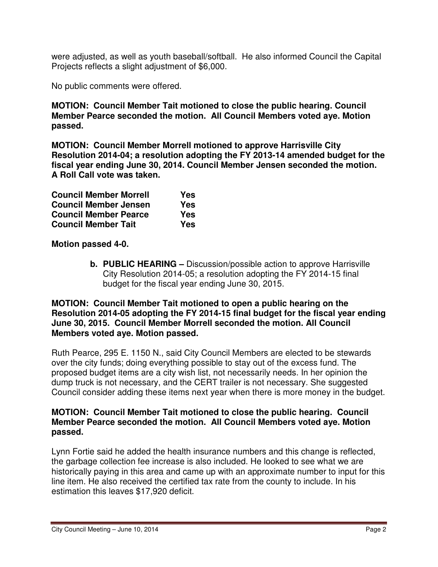were adjusted, as well as youth baseball/softball. He also informed Council the Capital Projects reflects a slight adjustment of \$6,000.

No public comments were offered.

**MOTION: Council Member Tait motioned to close the public hearing. Council Member Pearce seconded the motion. All Council Members voted aye. Motion passed.** 

**MOTION: Council Member Morrell motioned to approve Harrisville City Resolution 2014-04; a resolution adopting the FY 2013-14 amended budget for the fiscal year ending June 30, 2014. Council Member Jensen seconded the motion. A Roll Call vote was taken.** 

| <b>Council Member Morrell</b> | Yes |
|-------------------------------|-----|
| <b>Council Member Jensen</b>  | Yes |
| <b>Council Member Pearce</b>  | Yes |
| <b>Council Member Tait</b>    | Yes |

**Motion passed 4-0.** 

**b. PUBLIC HEARING –** Discussion/possible action to approve Harrisville City Resolution 2014-05; a resolution adopting the FY 2014-15 final budget for the fiscal year ending June 30, 2015.

#### **MOTION: Council Member Tait motioned to open a public hearing on the Resolution 2014-05 adopting the FY 2014-15 final budget for the fiscal year ending June 30, 2015. Council Member Morrell seconded the motion. All Council Members voted aye. Motion passed.**

Ruth Pearce, 295 E. 1150 N., said City Council Members are elected to be stewards over the city funds; doing everything possible to stay out of the excess fund. The proposed budget items are a city wish list, not necessarily needs. In her opinion the dump truck is not necessary, and the CERT trailer is not necessary. She suggested Council consider adding these items next year when there is more money in the budget.

#### **MOTION: Council Member Tait motioned to close the public hearing. Council Member Pearce seconded the motion. All Council Members voted aye. Motion passed.**

Lynn Fortie said he added the health insurance numbers and this change is reflected, the garbage collection fee increase is also included. He looked to see what we are historically paying in this area and came up with an approximate number to input for this line item. He also received the certified tax rate from the county to include. In his estimation this leaves \$17,920 deficit.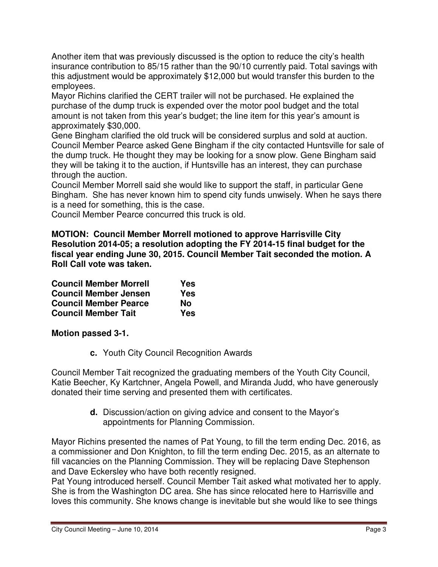Another item that was previously discussed is the option to reduce the city's health insurance contribution to 85/15 rather than the 90/10 currently paid. Total savings with this adjustment would be approximately \$12,000 but would transfer this burden to the employees.

Mayor Richins clarified the CERT trailer will not be purchased. He explained the purchase of the dump truck is expended over the motor pool budget and the total amount is not taken from this year's budget; the line item for this year's amount is approximately \$30,000.

Gene Bingham clarified the old truck will be considered surplus and sold at auction. Council Member Pearce asked Gene Bingham if the city contacted Huntsville for sale of the dump truck. He thought they may be looking for a snow plow. Gene Bingham said they will be taking it to the auction, if Huntsville has an interest, they can purchase through the auction.

Council Member Morrell said she would like to support the staff, in particular Gene Bingham. She has never known him to spend city funds unwisely. When he says there is a need for something, this is the case.

Council Member Pearce concurred this truck is old.

**MOTION: Council Member Morrell motioned to approve Harrisville City Resolution 2014-05; a resolution adopting the FY 2014-15 final budget for the fiscal year ending June 30, 2015. Council Member Tait seconded the motion. A Roll Call vote was taken.** 

| <b>Council Member Morrell</b> | Yes |
|-------------------------------|-----|
| <b>Council Member Jensen</b>  | Yes |
| <b>Council Member Pearce</b>  | Nο  |
| <b>Council Member Tait</b>    | Yes |

**Motion passed 3-1.** 

**c.** Youth City Council Recognition Awards

Council Member Tait recognized the graduating members of the Youth City Council, Katie Beecher, Ky Kartchner, Angela Powell, and Miranda Judd, who have generously donated their time serving and presented them with certificates.

> **d.** Discussion/action on giving advice and consent to the Mayor's appointments for Planning Commission.

Mayor Richins presented the names of Pat Young, to fill the term ending Dec. 2016, as a commissioner and Don Knighton, to fill the term ending Dec. 2015, as an alternate to fill vacancies on the Planning Commission. They will be replacing Dave Stephenson and Dave Eckersley who have both recently resigned.

Pat Young introduced herself. Council Member Tait asked what motivated her to apply. She is from the Washington DC area. She has since relocated here to Harrisville and loves this community. She knows change is inevitable but she would like to see things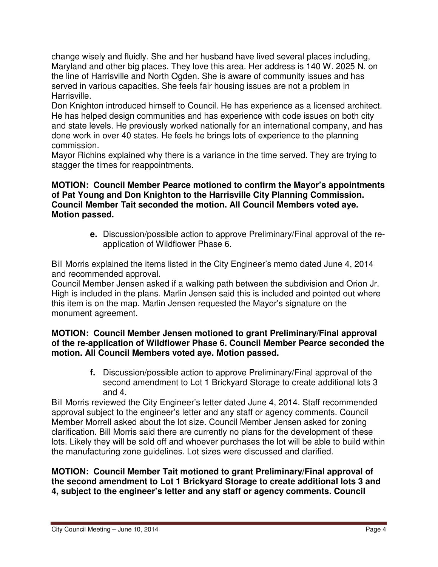change wisely and fluidly. She and her husband have lived several places including, Maryland and other big places. They love this area. Her address is 140 W. 2025 N. on the line of Harrisville and North Ogden. She is aware of community issues and has served in various capacities. She feels fair housing issues are not a problem in Harrisville.

Don Knighton introduced himself to Council. He has experience as a licensed architect. He has helped design communities and has experience with code issues on both city and state levels. He previously worked nationally for an international company, and has done work in over 40 states. He feels he brings lots of experience to the planning commission.

Mayor Richins explained why there is a variance in the time served. They are trying to stagger the times for reappointments.

## **MOTION: Council Member Pearce motioned to confirm the Mayor's appointments of Pat Young and Don Knighton to the Harrisville City Planning Commission. Council Member Tait seconded the motion. All Council Members voted aye. Motion passed.**

**e.** Discussion/possible action to approve Preliminary/Final approval of the reapplication of Wildflower Phase 6.

Bill Morris explained the items listed in the City Engineer's memo dated June 4, 2014 and recommended approval.

Council Member Jensen asked if a walking path between the subdivision and Orion Jr. High is included in the plans. Marlin Jensen said this is included and pointed out where this item is on the map. Marlin Jensen requested the Mayor's signature on the monument agreement.

### **MOTION: Council Member Jensen motioned to grant Preliminary/Final approval of the re-application of Wildflower Phase 6. Council Member Pearce seconded the motion. All Council Members voted aye. Motion passed.**

**f.** Discussion/possible action to approve Preliminary/Final approval of the second amendment to Lot 1 Brickyard Storage to create additional lots 3 and 4.

Bill Morris reviewed the City Engineer's letter dated June 4, 2014. Staff recommended approval subject to the engineer's letter and any staff or agency comments. Council Member Morrell asked about the lot size. Council Member Jensen asked for zoning clarification. Bill Morris said there are currently no plans for the development of these lots. Likely they will be sold off and whoever purchases the lot will be able to build within the manufacturing zone guidelines. Lot sizes were discussed and clarified.

**MOTION: Council Member Tait motioned to grant Preliminary/Final approval of the second amendment to Lot 1 Brickyard Storage to create additional lots 3 and 4, subject to the engineer's letter and any staff or agency comments. Council**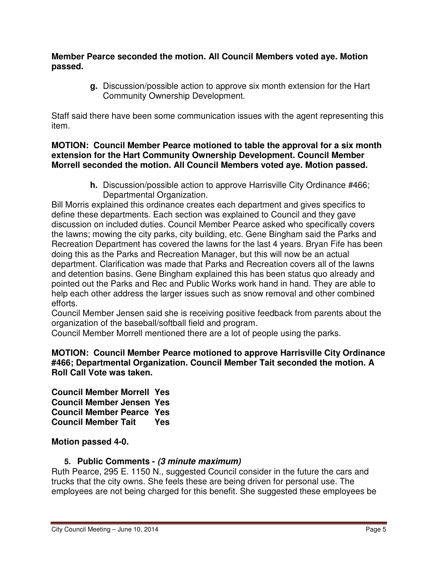#### **Member Pearce seconded the motion. All Council Members voted aye. Motion passed.**

**g.** Discussion/possible action to approve six month extension for the Hart Community Ownership Development.

Staff said there have been some communication issues with the agent representing this item.

#### **MOTION: Council Member Pearce motioned to table the approval for a six month extension for the Hart Community Ownership Development. Council Member Morrell seconded the motion. All Council Members voted aye. Motion passed.**

**h.** Discussion/possible action to approve Harrisville City Ordinance #466; Departmental Organization.

Bill Morris explained this ordinance creates each department and gives specifics to define these departments. Each section was explained to Council and they gave discussion on included duties. Council Member Pearce asked who specifically covers the lawns; mowing the city parks, city building, etc. Gene Bingham said the Parks and Recreation Department has covered the lawns for the last 4 years. Bryan Fife has been doing this as the Parks and Recreation Manager, but this will now be an actual department. Clarification was made that Parks and Recreation covers all of the lawns and detention basins. Gene Bingham explained this has been status quo already and pointed out the Parks and Rec and Public Works work hand in hand. They are able to help each other address the larger issues such as snow removal and other combined efforts.

Council Member Jensen said she is receiving positive feedback from parents about the organization of the baseball/softball field and program.

Council Member Morrell mentioned there are a lot of people using the parks.

#### **MOTION: Council Member Pearce motioned to approve Harrisville City Ordinance #466; Departmental Organization. Council Member Tait seconded the motion. A Roll Call Vote was taken.**

**Council Member Morrell Yes Council Member Jensen Yes Council Member Pearce Yes Council Member Tait Yes** 

**Motion passed 4-0.** 

## **5. Public Comments - (3 minute maximum)**

Ruth Pearce, 295 E. 1150 N., suggested Council consider in the future the cars and trucks that the city owns. She feels these are being driven for personal use. The employees are not being charged for this benefit. She suggested these employees be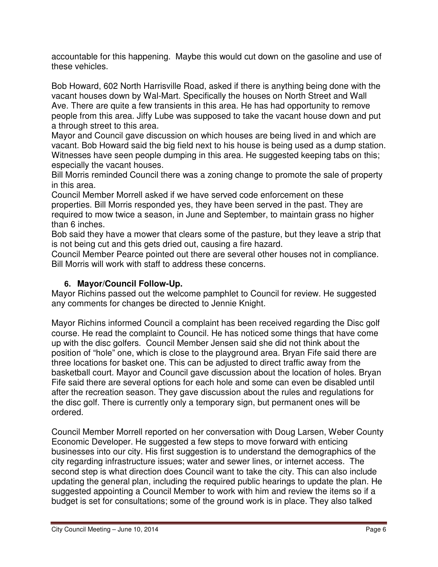accountable for this happening. Maybe this would cut down on the gasoline and use of these vehicles.

Bob Howard, 602 North Harrisville Road, asked if there is anything being done with the vacant houses down by Wal-Mart. Specifically the houses on North Street and Wall Ave. There are quite a few transients in this area. He has had opportunity to remove people from this area. Jiffy Lube was supposed to take the vacant house down and put a through street to this area.

Mayor and Council gave discussion on which houses are being lived in and which are vacant. Bob Howard said the big field next to his house is being used as a dump station. Witnesses have seen people dumping in this area. He suggested keeping tabs on this; especially the vacant houses.

Bill Morris reminded Council there was a zoning change to promote the sale of property in this area.

Council Member Morrell asked if we have served code enforcement on these properties. Bill Morris responded yes, they have been served in the past. They are required to mow twice a season, in June and September, to maintain grass no higher than 6 inches.

Bob said they have a mower that clears some of the pasture, but they leave a strip that is not being cut and this gets dried out, causing a fire hazard.

Council Member Pearce pointed out there are several other houses not in compliance. Bill Morris will work with staff to address these concerns.

## **6. Mayor/Council Follow-Up.**

Mayor Richins passed out the welcome pamphlet to Council for review. He suggested any comments for changes be directed to Jennie Knight.

Mayor Richins informed Council a complaint has been received regarding the Disc golf course. He read the complaint to Council. He has noticed some things that have come up with the disc golfers. Council Member Jensen said she did not think about the position of "hole" one, which is close to the playground area. Bryan Fife said there are three locations for basket one. This can be adjusted to direct traffic away from the basketball court. Mayor and Council gave discussion about the location of holes. Bryan Fife said there are several options for each hole and some can even be disabled until after the recreation season. They gave discussion about the rules and regulations for the disc golf. There is currently only a temporary sign, but permanent ones will be ordered.

Council Member Morrell reported on her conversation with Doug Larsen, Weber County Economic Developer. He suggested a few steps to move forward with enticing businesses into our city. His first suggestion is to understand the demographics of the city regarding infrastructure issues; water and sewer lines, or internet access. The second step is what direction does Council want to take the city. This can also include updating the general plan, including the required public hearings to update the plan. He suggested appointing a Council Member to work with him and review the items so if a budget is set for consultations; some of the ground work is in place. They also talked